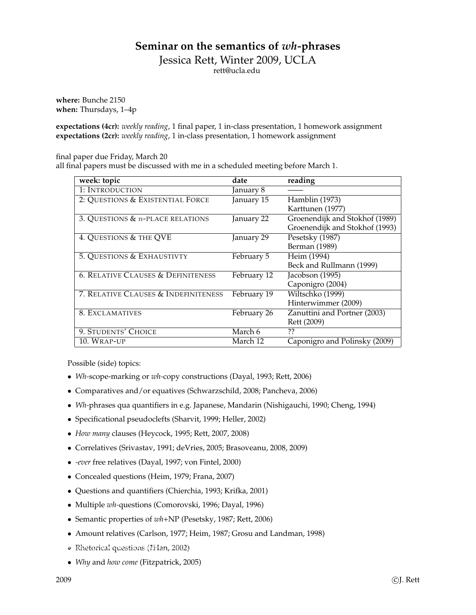## **Seminar on the semantics of** *wh-***phrases**

Jessica Rett, Winter 2009, UCLA

rett@ucla.edu

**where:** Bunche 2150 **when:** Thursdays, 1–4p

**expectations (4cr):** *weekly reading*, 1 final paper, 1 in-class presentation, 1 homework assignment **expectations (2cr):** *weekly reading*, 1 in-class presentation, 1 homework assignment

final paper due Friday, March 20

all final papers must be discussed with me in a scheduled meeting before March 1.

| week: topic                                   | date        | reading                        |
|-----------------------------------------------|-------------|--------------------------------|
| 1: INTRODUCTION                               | January 8   |                                |
| 2: QUESTIONS & EXISTENTIAL FORCE              | January 15  | Hamblin (1973)                 |
|                                               |             | Karttunen (1977)               |
| 3. QUESTIONS $\&$ n-PLACE RELATIONS           | January 22  | Groenendijk and Stokhof (1989) |
|                                               |             | Groenendijk and Stokhof (1993) |
| 4. QUESTIONS & THE QVE                        | January 29  | Pesetsky (1987)                |
|                                               |             | Berman (1989)                  |
| 5. QUESTIONS & EXHAUSTIVTY                    | February 5  | Heim (1994)                    |
|                                               |             | Beck and Rullmann (1999)       |
| <b>6. RELATIVE CLAUSES &amp; DEFINITENESS</b> | February 12 | Jacobson (1995)                |
|                                               |             | Caponigro (2004)               |
| 7. RELATIVE CLAUSES & INDEFINITENESS          | February 19 | Wiltschko (1999)               |
|                                               |             | Hinterwimmer (2009)            |
| 8. EXCLAMATIVES                               | February 26 | Zanuttini and Portner (2003)   |
|                                               |             | Rett (2009)                    |
| 9. STUDENTS' CHOICE                           | March 6     | ??                             |
| 10. WRAP-UP                                   | March 12    | Caponigro and Polinsky (2009)  |

Possible (side) topics:

- *Wh-*scope-marking or *wh-*copy constructions (Dayal, 1993; Rett, 2006)
- Comparatives and/or equatives (Schwarzschild, 2008; Pancheva, 2006)
- *Wh-*phrases qua quantifiers in e.g. Japanese, Mandarin (Nishigauchi, 1990; Cheng, 1994)
- Specificational pseudoclefts (Sharvit, 1999; Heller, 2002)
- *How many* clauses (Heycock, 1995; Rett, 2007, 2008)
- Correlatives (Srivastav, 1991; deVries, 2005; Brasoveanu, 2008, 2009)
- *-ever* free relatives (Dayal, 1997; von Fintel, 2000)
- Concealed questions (Heim, 1979; Frana, 2007)
- Questions and quantifiers (Chierchia, 1993; Krifka, 2001)
- Multiple *wh-*questions (Comorovski, 1996; Dayal, 1996)
- Semantic properties of *wh*+NP (Pesetsky, 1987; Rett, 2006)
- Amount relatives (Carlson, 1977; Heim, 1987; Grosu and Landman, 1998)
- Rhetorical questions (?Han, 2002); den Broenendijk and Stokholm (2007); Groenendijk and Stokholm (1997); Bach and S
- *Why* and *how come* (Fitzpatrick, 2005)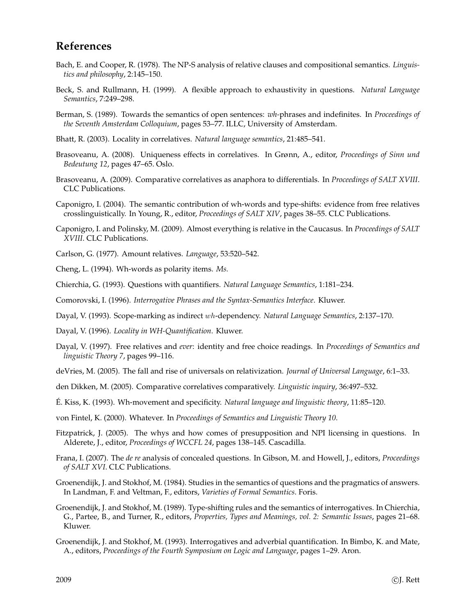## **References**

- Bach, E. and Cooper, R. (1978). The NP-S analysis of relative clauses and compositional semantics. *Linguistics and philosophy*, 2:145–150.
- Beck, S. and Rullmann, H. (1999). A flexible approach to exhaustivity in questions. *Natural Language Semantics*, 7:249–298.
- Berman, S. (1989). Towards the semantics of open sentences: *wh-*phrases and indefinites. In *Proceedings of the Seventh Amsterdam Colloquium*, pages 53–77. ILLC, University of Amsterdam.
- Bhatt, R. (2003). Locality in correlatives. *Natural language semantics*, 21:485–541.
- Brasoveanu, A. (2008). Uniqueness effects in correlatives. In Grønn, A., editor, *Proceedings of Sinn und Bedeutung 12*, pages 47–65. Oslo.
- Brasoveanu, A. (2009). Comparative correlatives as anaphora to differentials. In *Proceedings of SALT XVIII*. CLC Publications.
- Caponigro, I. (2004). The semantic contribution of wh-words and type-shifts: evidence from free relatives crosslinguistically. In Young, R., editor, *Proceedings of SALT XIV*, pages 38–55. CLC Publications.
- Caponigro, I. and Polinsky, M. (2009). Almost everything is relative in the Caucasus. In *Proceedings of SALT XVIII*. CLC Publications.
- Carlson, G. (1977). Amount relatives. *Language*, 53:520–542.
- Cheng, L. (1994). Wh-words as polarity items. *Ms.*
- Chierchia, G. (1993). Questions with quantifiers. *Natural Language Semantics*, 1:181–234.
- Comorovski, I. (1996). *Interrogative Phrases and the Syntax-Semantics Interface*. Kluwer.
- Dayal, V. (1993). Scope-marking as indirect wh-dependency. *Natural Language Semantics*, 2:137–170.
- Dayal, V. (1996). *Locality in WH-Quantification*. Kluwer.
- Dayal, V. (1997). Free relatives and *ever*: identity and free choice readings. In *Proceedings of Semantics and linguistic Theory 7*, pages 99–116.
- deVries, M. (2005). The fall and rise of universals on relativization. *Journal of Universal Language*, 6:1–33.
- den Dikken, M. (2005). Comparative correlatives comparatively. *Linguistic inquiry*, 36:497–532.
- E. Kiss, K. (1993). Wh-movement and specificity. ´ *Natural language and linguistic theory*, 11:85–120.
- von Fintel, K. (2000). Whatever. In *Proceedings of Semantics and Linguistic Theory 10*.
- Fitzpatrick, J. (2005). The whys and how comes of presupposition and NPI licensing in questions. In Alderete, J., editor, *Proceedings of WCCFL 24*, pages 138–145. Cascadilla.
- Frana, I. (2007). The *de re* analysis of concealed questions. In Gibson, M. and Howell, J., editors, *Proceedings of SALT XVI*. CLC Publications.
- Groenendijk, J. and Stokhof, M. (1984). Studies in the semantics of questions and the pragmatics of answers. In Landman, F. and Veltman, F., editors, *Varieties of Formal Semantics*. Foris.
- Groenendijk, J. and Stokhof, M. (1989). Type-shifting rules and the semantics of interrogatives. In Chierchia, G., Partee, B., and Turner, R., editors, *Properties, Types and Meanings, vol. 2: Semantic Issues*, pages 21–68. Kluwer.
- Groenendijk, J. and Stokhof, M. (1993). Interrogatives and adverbial quantification. In Bimbo, K. and Mate, A., editors, *Proceedings of the Fourth Symposium on Logic and Language*, pages 1–29. Aron.